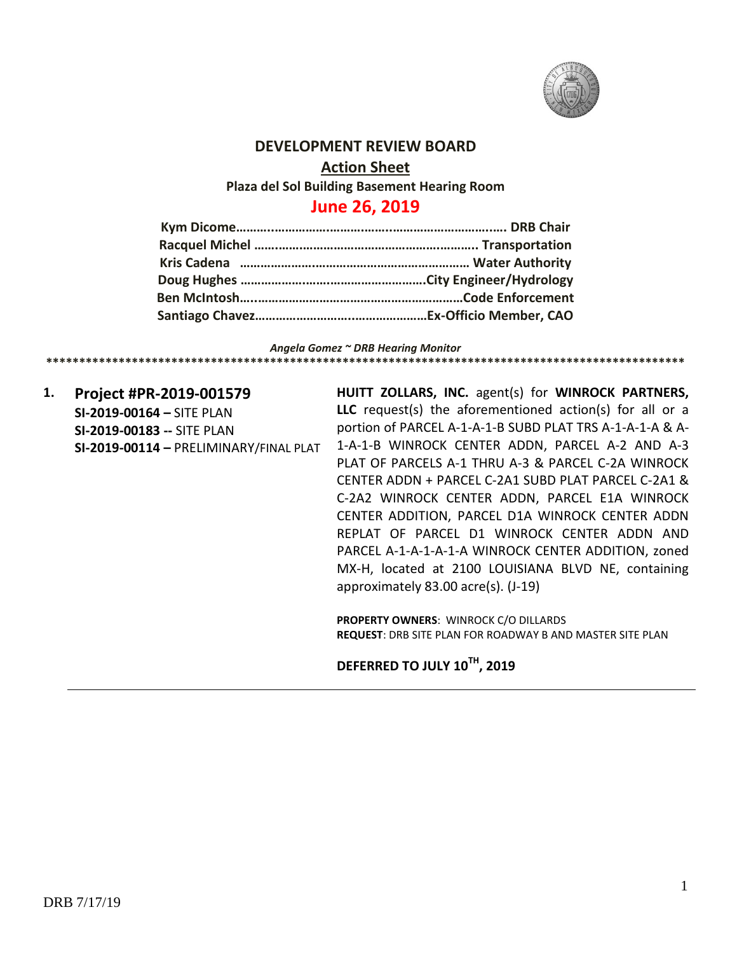

#### **DEVELOPMENT REVIEW BOARD**

**Action Sheet**

**Plaza del Sol Building Basement Hearing Room**

## **June 26, 2019**

*Angela Gomez ~ DRB Hearing Monitor* **\*\*\*\*\*\*\*\*\*\*\*\*\*\*\*\*\*\*\*\*\*\*\*\*\*\*\*\*\*\*\*\*\*\*\*\*\*\*\*\*\*\*\*\*\*\*\*\*\*\*\*\*\*\*\*\*\*\*\*\*\*\*\*\*\*\*\*\*\*\*\*\*\*\*\*\*\*\*\*\*\*\*\*\*\*\*\*\*\*\*\*\*\*\*\*\*\***

**1. Project #PR-2019-001579 SI-2019-00164 –** SITE PLAN **SI-2019-00183 --** SITE PLAN **SI-2019-00114 –** PRELIMINARY/FINAL PLAT **HUITT ZOLLARS, INC.** agent(s) for **WINROCK PARTNERS, LLC** request(s) the aforementioned action(s) for all or a portion of PARCEL A-1-A-1-B SUBD PLAT TRS A-1-A-1-A & A-1-A-1-B WINROCK CENTER ADDN, PARCEL A-2 AND A-3 PLAT OF PARCELS A-1 THRU A-3 & PARCEL C-2A WINROCK CENTER ADDN + PARCEL C-2A1 SUBD PLAT PARCEL C-2A1 & C-2A2 WINROCK CENTER ADDN, PARCEL E1A WINROCK CENTER ADDITION, PARCEL D1A WINROCK CENTER ADDN REPLAT OF PARCEL D1 WINROCK CENTER ADDN AND PARCEL A-1-A-1-A-1-A WINROCK CENTER ADDITION, zoned MX-H, located at 2100 LOUISIANA BLVD NE, containing approximately 83.00 acre(s). (J-19)

**PROPERTY OWNERS**: WINROCK C/O DILLARDS **REQUEST**: DRB SITE PLAN FOR ROADWAY B AND MASTER SITE PLAN

### **DEFERRED TO JULY 10TH, 2019**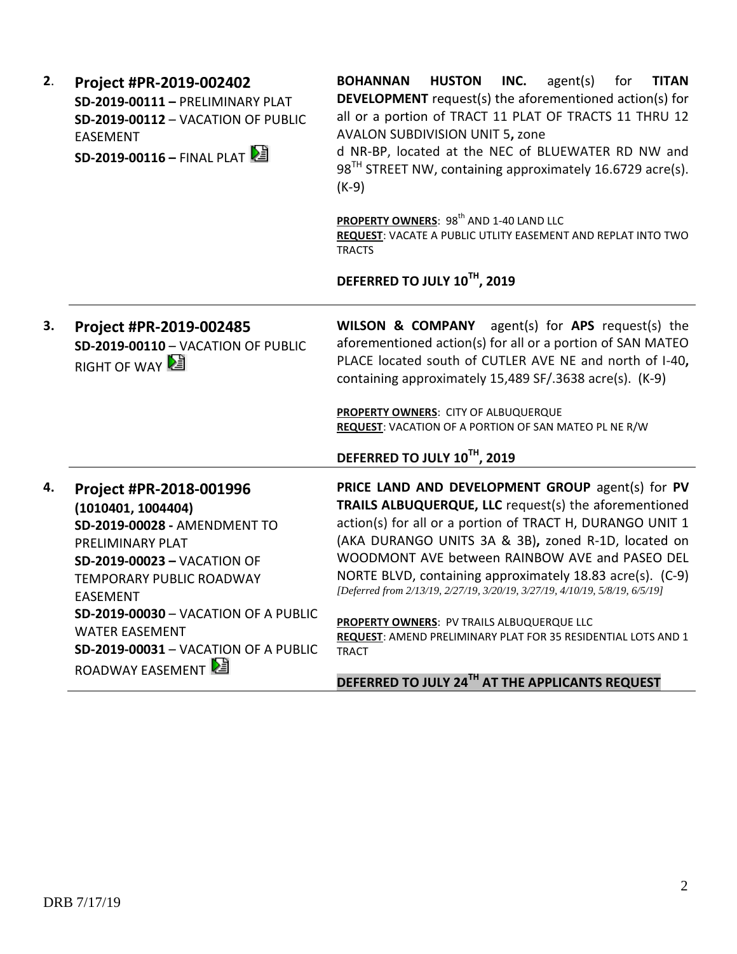| 2. | Project #PR-2019-002402<br>SD-2019-00111 - PRELIMINARY PLAT<br>SD-2019-00112 - VACATION OF PUBLIC<br><b>EASEMENT</b><br>SD-2019-00116 - FINAL PLAT                                                                                                                                                                                | <b>BOHANNAN</b><br><b>HUSTON</b><br>INC.<br>agent(s)<br>for<br><b>TITAN</b><br><b>DEVELOPMENT</b> request(s) the aforementioned action(s) for<br>all or a portion of TRACT 11 PLAT OF TRACTS 11 THRU 12<br><b>AVALON SUBDIVISION UNIT 5, zone</b><br>d NR-BP, located at the NEC of BLUEWATER RD NW and<br>98 <sup>TH</sup> STREET NW, containing approximately 16.6729 acre(s).<br>$(K-9)$                                                                                                                                                                                                                   |
|----|-----------------------------------------------------------------------------------------------------------------------------------------------------------------------------------------------------------------------------------------------------------------------------------------------------------------------------------|---------------------------------------------------------------------------------------------------------------------------------------------------------------------------------------------------------------------------------------------------------------------------------------------------------------------------------------------------------------------------------------------------------------------------------------------------------------------------------------------------------------------------------------------------------------------------------------------------------------|
|    |                                                                                                                                                                                                                                                                                                                                   | PROPERTY OWNERS: 98 <sup>th</sup> AND 1-40 LAND LLC<br>REQUEST: VACATE A PUBLIC UTLITY EASEMENT AND REPLAT INTO TWO<br><b>TRACTS</b>                                                                                                                                                                                                                                                                                                                                                                                                                                                                          |
|    |                                                                                                                                                                                                                                                                                                                                   | DEFERRED TO JULY 10TH, 2019                                                                                                                                                                                                                                                                                                                                                                                                                                                                                                                                                                                   |
| 3. | Project #PR-2019-002485<br>SD-2019-00110 - VACATION OF PUBLIC<br>RIGHT OF WAY                                                                                                                                                                                                                                                     | <b>WILSON &amp; COMPANY</b> agent(s) for APS request(s) the<br>aforementioned action(s) for all or a portion of SAN MATEO<br>PLACE located south of CUTLER AVE NE and north of I-40,<br>containing approximately 15,489 SF/.3638 acre(s). (K-9)<br>PROPERTY OWNERS: CITY OF ALBUQUERQUE<br>REQUEST: VACATION OF A PORTION OF SAN MATEO PL NE R/W<br>DEFERRED TO JULY 10TH, 2019                                                                                                                                                                                                                               |
| 4. | Project #PR-2018-001996<br>(1010401, 1004404)<br>SD-2019-00028 - AMENDMENT TO<br>PRELIMINARY PLAT<br><b>SD-2019-00023 - VACATION OF</b><br>TEMPORARY PUBLIC ROADWAY<br><b>EASEMENT</b><br><b>SD-2019-00030 - VACATION OF A PUBLIC</b><br><b>WATER EASEMENT</b><br><b>SD-2019-00031 - VACATION OF A PUBLIC</b><br>ROADWAY EASEMENT | PRICE LAND AND DEVELOPMENT GROUP agent(s) for PV<br>TRAILS ALBUQUERQUE, LLC request(s) the aforementioned<br>action(s) for all or a portion of TRACT H, DURANGO UNIT 1<br>(AKA DURANGO UNITS 3A & 3B), zoned R-1D, located on<br>WOODMONT AVE between RAINBOW AVE and PASEO DEL<br>NORTE BLVD, containing approximately 18.83 acre(s). (C-9)<br>[Deferred from 2/13/19, 2/27/19, 3/20/19, 3/27/19, 4/10/19, 5/8/19, 6/5/19]<br>PROPERTY OWNERS: PV TRAILS ALBUQUERQUE LLC<br>REQUEST: AMEND PRELIMINARY PLAT FOR 35 RESIDENTIAL LOTS AND 1<br><b>TRACT</b><br>DEFERRED TO JULY 24TH AT THE APPLICANTS REQUEST |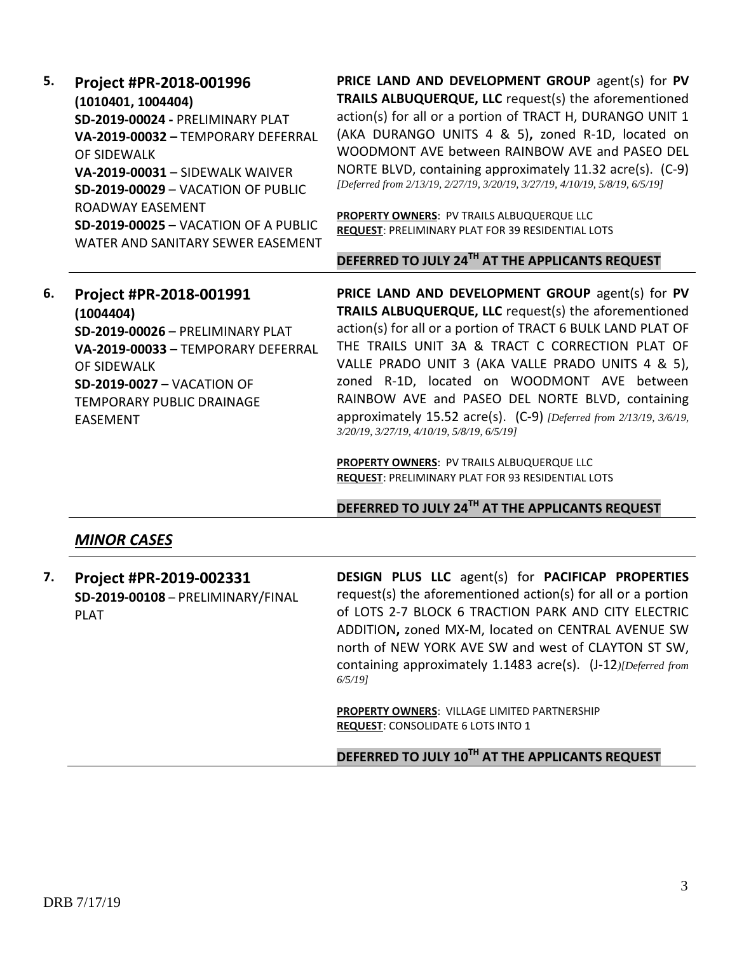| 5. | Project #PR-2018-001996<br>(1010401, 1004404)<br>SD-2019-00024 - PRELIMINARY PLAT<br>VA-2019-00032 - TEMPORARY DEFERRAL<br>OF SIDEWALK<br>VA-2019-00031 - SIDEWALK WAIVER<br>SD-2019-00029 - VACATION OF PUBLIC<br>ROADWAY EASEMENT<br><b>SD-2019-00025 - VACATION OF A PUBLIC</b><br>WATER AND SANITARY SEWER EASEMENT | PRICE LAND AND DEVELOPMENT GROUP agent(s) for PV<br><b>TRAILS ALBUQUERQUE, LLC</b> request(s) the aforementioned<br>action(s) for all or a portion of TRACT H, DURANGO UNIT 1<br>(AKA DURANGO UNITS 4 & 5), zoned R-1D, located on<br>WOODMONT AVE between RAINBOW AVE and PASEO DEL<br>NORTE BLVD, containing approximately 11.32 acre(s). (C-9)<br>[Deferred from 2/13/19, 2/27/19, 3/20/19, 3/27/19, 4/10/19, 5/8/19, 6/5/19]<br>PROPERTY OWNERS: PV TRAILS ALBUQUERQUE LLC<br><b>REQUEST: PRELIMINARY PLAT FOR 39 RESIDENTIAL LOTS</b> |
|----|-------------------------------------------------------------------------------------------------------------------------------------------------------------------------------------------------------------------------------------------------------------------------------------------------------------------------|--------------------------------------------------------------------------------------------------------------------------------------------------------------------------------------------------------------------------------------------------------------------------------------------------------------------------------------------------------------------------------------------------------------------------------------------------------------------------------------------------------------------------------------------|
|    |                                                                                                                                                                                                                                                                                                                         | DEFERRED TO JULY 24TH AT THE APPLICANTS REQUEST                                                                                                                                                                                                                                                                                                                                                                                                                                                                                            |
| 6. | Project #PR-2018-001991<br>(1004404)<br><b>SD-2019-00026 - PRELIMINARY PLAT</b><br>VA-2019-00033 - TEMPORARY DEFERRAL<br>OF SIDEWALK<br><b>SD-2019-0027 - VACATION OF</b><br><b>TEMPORARY PUBLIC DRAINAGE</b><br><b>EASEMENT</b>                                                                                        | PRICE LAND AND DEVELOPMENT GROUP agent(s) for PV<br><b>TRAILS ALBUQUERQUE, LLC</b> request(s) the aforementioned<br>action(s) for all or a portion of TRACT 6 BULK LAND PLAT OF<br>THE TRAILS UNIT 3A & TRACT C CORRECTION PLAT OF<br>VALLE PRADO UNIT 3 (AKA VALLE PRADO UNITS 4 & 5),<br>zoned R-1D, located on WOODMONT AVE between<br>RAINBOW AVE and PASEO DEL NORTE BLVD, containing<br>approximately 15.52 acre(s). $(C-9)$ [Deferred from 2/13/19, 3/6/19,                                                                         |
|    |                                                                                                                                                                                                                                                                                                                         | 3/20/19, 3/27/19, 4/10/19, 5/8/19, 6/5/19]                                                                                                                                                                                                                                                                                                                                                                                                                                                                                                 |

# **DEFERRED TO JULY 24TH AT THE APPLICANTS REQUEST**

## *MINOR CASES*

| 7. | Project #PR-2019-002331                          | DESIGN PLUS LLC agent(s) for PACIFICAP PROPERTIES                                                                                                                                                                                                                                                             |
|----|--------------------------------------------------|---------------------------------------------------------------------------------------------------------------------------------------------------------------------------------------------------------------------------------------------------------------------------------------------------------------|
|    | SD-2019-00108 - PRELIMINARY/FINAL<br><b>PLAT</b> | request(s) the aforementioned action(s) for all or a portion<br>of LOTS 2-7 BLOCK 6 TRACTION PARK AND CITY ELECTRIC<br>ADDITION, zoned MX-M, located on CENTRAL AVENUE SW<br>north of NEW YORK AVE SW and west of CLAYTON ST SW,<br>containing approximately 1.1483 acre(s). (J-12) [Deferred from<br>6/5/191 |
|    |                                                  | <b>PROPERTY OWNERS: VILLAGE LIMITED PARTNERSHIP</b>                                                                                                                                                                                                                                                           |

**REQUEST**: CONSOLIDATE 6 LOTS INTO 1

**DEFERRED TO JULY 10TH AT THE APPLICANTS REQUEST**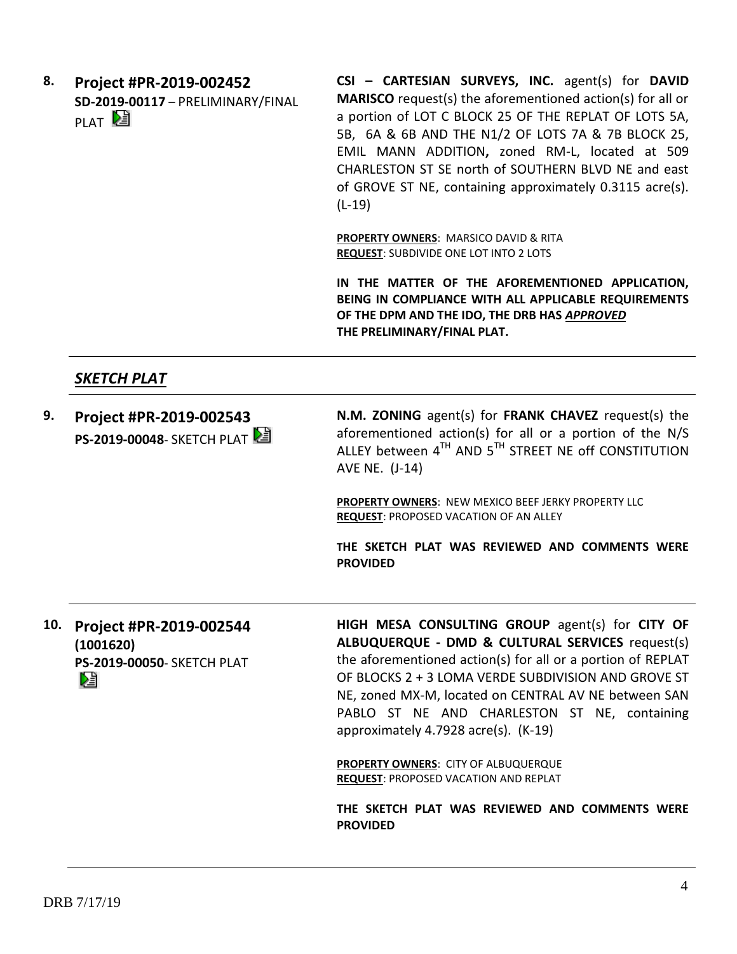**8. Project #PR-2019-002452 SD-2019-00117** – PRELIMINARY/FINAL PLAT<sup>D</sup>

**CSI – CARTESIAN SURVEYS, INC.** agent(s) for **DAVID MARISCO** request(s) the aforementioned action(s) for all or a portion of LOT C BLOCK 25 OF THE REPLAT OF LOTS 5A, 5B, 6A & 6B AND THE N1/2 OF LOTS 7A & 7B BLOCK 25, EMIL MANN ADDITION**,** zoned RM-L, located at 509 CHARLESTON ST SE north of SOUTHERN BLVD NE and east of GROVE ST NE, containing approximately 0.3115 acre(s). (L-19)

**PROPERTY OWNERS**: MARSICO DAVID & RITA **REQUEST**: SUBDIVIDE ONE LOT INTO 2 LOTS

**IN THE MATTER OF THE AFOREMENTIONED APPLICATION, BEING IN COMPLIANCE WITH ALL APPLICABLE REQUIREMENTS OF THE DPM AND THE IDO, THE DRB HAS** *APPROVED* **THE PRELIMINARY/FINAL PLAT.** 

### *SKETCH PLAT*

**9. Project #PR-2019-002543 PS-2019-00048- SKETCH PLAT N.M. ZONING** agent(s) for **FRANK CHAVEZ** request(s) the aforementioned action(s) for all or a portion of the N/S ALLEY between  $4^{TH}$  AND  $5^{TH}$  STREET NE off CONSTITUTION AVE NE. (J-14) **PROPERTY OWNERS**: NEW MEXICO BEEF JERKY PROPERTY LLC

**REQUEST**: PROPOSED VACATION OF AN ALLEY

**THE SKETCH PLAT WAS REVIEWED AND COMMENTS WERE PROVIDED**

**10. Project #PR-2019-002544 (1001620) PS-2019-00050**- SKETCH PLAT DJ

**HIGH MESA CONSULTING GROUP** agent(s) for **CITY OF ALBUQUERQUE - DMD & CULTURAL SERVICES** request(s) the aforementioned action(s) for all or a portion of REPLAT OF BLOCKS 2 + 3 LOMA VERDE SUBDIVISION AND GROVE ST NE, zoned MX-M, located on CENTRAL AV NE between SAN PABLO ST NE AND CHARLESTON ST NE, containing approximately 4.7928 acre(s). (K-19)

**PROPERTY OWNERS**: CITY OF ALBUQUERQUE **REQUEST**: PROPOSED VACATION AND REPLAT

**THE SKETCH PLAT WAS REVIEWED AND COMMENTS WERE PROVIDED**